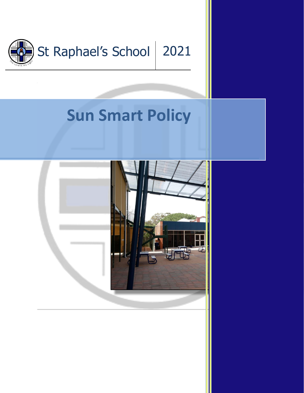

## **Sun Smart Policy**

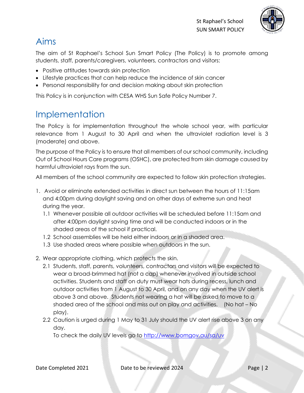

## Aims

The aim of St Raphael's School Sun Smart Policy (The Policy) is to promote among students, staff, parents/caregivers, volunteers, contractors and visitors:

- Positive attitudes towards skin protection
- Lifestyle practices that can help reduce the incidence of skin cancer
- Personal responsibility for and decision making about skin protection

This Policy is in conjunction with CESA WHS Sun Safe Policy Number 7.

## Implementation

The Policy is for implementation throughout the whole school year, with particular relevance from 1 August to 30 April and when the ultraviolet radiation level is 3 (moderate) and above.

The purpose of the Policy is to ensure that all members of our school community, including Out of School Hours Care programs (OSHC), are protected from skin damage caused by harmful ultraviolet rays from the sun.

All members of the school community are expected to follow skin protection strategies.

- 1. Avoid or eliminate extended activities in direct sun between the hours of 11:15am and 4:00pm during daylight saving and on other days of extreme sun and heat during the year.
	- 1.1 Whenever possible all outdoor activities will be scheduled before 11:15am and after 4:00pm daylight saving time and will be conducted indoors or in the shaded areas of the school if practical.
	- 1.2 School assemblies will be held either indoors or in a shaded area.
	- 1.3 Use shaded areas where possible when outdoors in the sun.
- 2. Wear appropriate clothing, which protects the skin.
	- 2.1 Students, staff, parents, volunteers, contractors and visitors will be expected to wear a broad-brimmed hat (not a cap) whenever involved in outside school activities. Students and staff on duty must wear hats during recess, lunch and outdoor activities from 1 August to 30 April, and on any day when the UV alert is above 3 and above. Students not wearing a hat will be asked to move to a shaded area of the school and miss out on play and activities. (No hat – No play).
	- 2.2 Caution is urged during 1 May to 31 July should the UV alert rise above 3 on any day.

To check the daily UV levels go to<http://www.bomgov.au/sa/uv>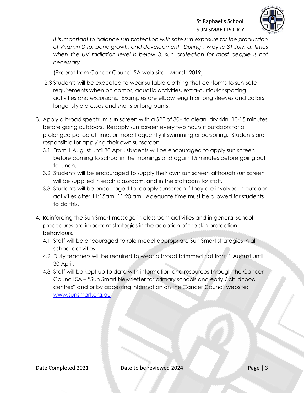

*It is important to balance sun protection with safe sun exposure for the production of Vitamin D for bone growth and development. During 1 May to 31 July, at times*  when the UV radiation level is below 3, sun protection for most people is not *necessary.*

(Excerpt from Cancer Council SA web-site – March 2019)

- 2.3 Students will be expected to wear suitable clothing that conforms to sun-safe requirements when on camps, aquatic activities, extra-curricular sporting activities and excursions. Examples are elbow length or long sleeves and collars, longer style dresses and shorts or long pants.
- 3. Apply a broad spectrum sun screen with a SPF of 30+ to clean, dry skin, 10-15 minutes before going outdoors. Reapply sun screen every two hours if outdoors for a prolonged period of time, or more frequently if swimming or perspiring. Students are responsible for applying their own sunscreen.
	- 3.1 From 1 August until 30 April, students will be encouraged to apply sun screen before coming to school in the mornings and again 15 minutes before going out to lunch.
	- 3.2 Students will be encouraged to supply their own sun screen although sun screen will be supplied in each classroom, and in the staffroom for staff.
	- 3.3 Students will be encouraged to reapply sunscreen if they are involved in outdoor activities after 11:15am. 11:20 am. Adequate time must be allowed for students to do this.
- 4. Reinforcing the Sun Smart message in classroom activities and in general school procedures are important strategies in the adoption of the skin protection behaviours.
	- 4.1 Staff will be encouraged to role model appropriate Sun Smart strategies in all school activities.
	- 4.2 Duty teachers will be required to wear a broad brimmed hat from 1 August until 30 April.
	- 4.3 Staff will be kept up to date with information and resources through the Cancer Council SA – "Sun Smart Newsletter for primary schools and early / childhood centres" and or by accessing information on the Cancer Council website: [www.sunsmart.org.au](http://www.sunsmart.org.au/)